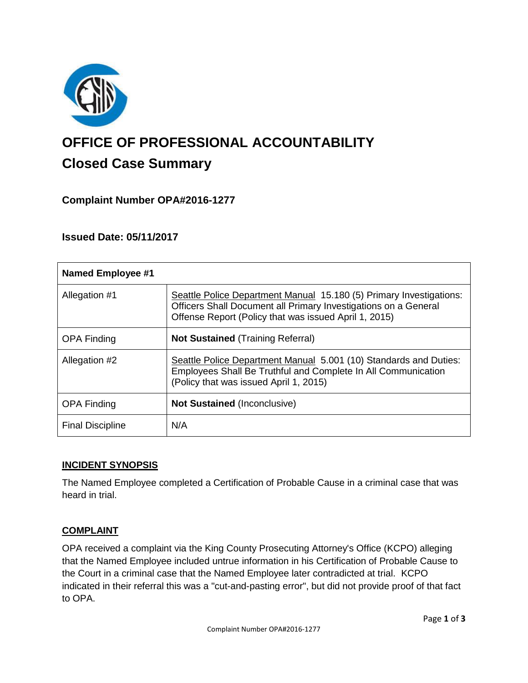

# **OFFICE OF PROFESSIONAL ACCOUNTABILITY Closed Case Summary**

# **Complaint Number OPA#2016-1277**

## **Issued Date: 05/11/2017**

| <b>Named Employee #1</b> |                                                                                                                                                                                                 |
|--------------------------|-------------------------------------------------------------------------------------------------------------------------------------------------------------------------------------------------|
| Allegation #1            | Seattle Police Department Manual 15.180 (5) Primary Investigations:<br>Officers Shall Document all Primary Investigations on a General<br>Offense Report (Policy that was issued April 1, 2015) |
| <b>OPA Finding</b>       | <b>Not Sustained (Training Referral)</b>                                                                                                                                                        |
| Allegation #2            | Seattle Police Department Manual 5.001 (10) Standards and Duties:<br>Employees Shall Be Truthful and Complete In All Communication<br>(Policy that was issued April 1, 2015)                    |
| <b>OPA Finding</b>       | <b>Not Sustained (Inconclusive)</b>                                                                                                                                                             |
| <b>Final Discipline</b>  | N/A                                                                                                                                                                                             |

#### **INCIDENT SYNOPSIS**

The Named Employee completed a Certification of Probable Cause in a criminal case that was heard in trial.

## **COMPLAINT**

OPA received a complaint via the King County Prosecuting Attorney's Office (KCPO) alleging that the Named Employee included untrue information in his Certification of Probable Cause to the Court in a criminal case that the Named Employee later contradicted at trial. KCPO indicated in their referral this was a "cut-and-pasting error", but did not provide proof of that fact to OPA.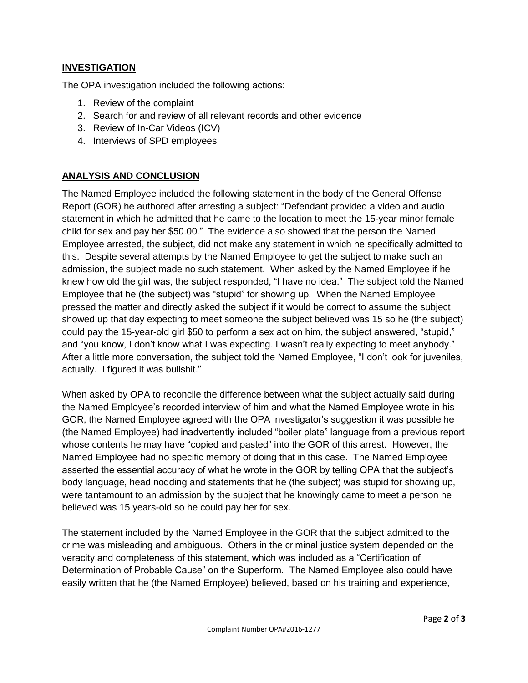## **INVESTIGATION**

The OPA investigation included the following actions:

- 1. Review of the complaint
- 2. Search for and review of all relevant records and other evidence
- 3. Review of In-Car Videos (ICV)
- 4. Interviews of SPD employees

## **ANALYSIS AND CONCLUSION**

The Named Employee included the following statement in the body of the General Offense Report (GOR) he authored after arresting a subject: "Defendant provided a video and audio statement in which he admitted that he came to the location to meet the 15-year minor female child for sex and pay her \$50.00." The evidence also showed that the person the Named Employee arrested, the subject, did not make any statement in which he specifically admitted to this. Despite several attempts by the Named Employee to get the subject to make such an admission, the subject made no such statement. When asked by the Named Employee if he knew how old the girl was, the subject responded, "I have no idea." The subject told the Named Employee that he (the subject) was "stupid" for showing up. When the Named Employee pressed the matter and directly asked the subject if it would be correct to assume the subject showed up that day expecting to meet someone the subject believed was 15 so he (the subject) could pay the 15-year-old girl \$50 to perform a sex act on him, the subject answered, "stupid," and "you know, I don't know what I was expecting. I wasn't really expecting to meet anybody." After a little more conversation, the subject told the Named Employee, "I don't look for juveniles, actually. I figured it was bullshit."

When asked by OPA to reconcile the difference between what the subject actually said during the Named Employee's recorded interview of him and what the Named Employee wrote in his GOR, the Named Employee agreed with the OPA investigator's suggestion it was possible he (the Named Employee) had inadvertently included "boiler plate" language from a previous report whose contents he may have "copied and pasted" into the GOR of this arrest. However, the Named Employee had no specific memory of doing that in this case. The Named Employee asserted the essential accuracy of what he wrote in the GOR by telling OPA that the subject's body language, head nodding and statements that he (the subject) was stupid for showing up, were tantamount to an admission by the subject that he knowingly came to meet a person he believed was 15 years-old so he could pay her for sex.

The statement included by the Named Employee in the GOR that the subject admitted to the crime was misleading and ambiguous. Others in the criminal justice system depended on the veracity and completeness of this statement, which was included as a "Certification of Determination of Probable Cause" on the Superform. The Named Employee also could have easily written that he (the Named Employee) believed, based on his training and experience,